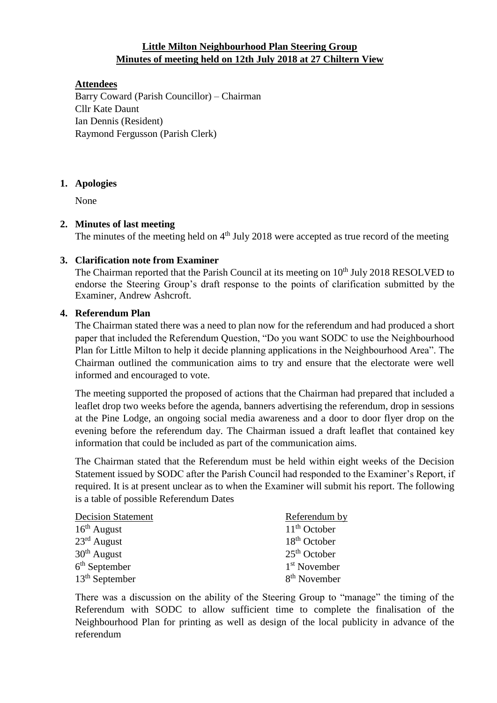## **Little Milton Neighbourhood Plan Steering Group Minutes of meeting held on 12th July 2018 at 27 Chiltern View**

## **Attendees**

Barry Coward (Parish Councillor) – Chairman Cllr Kate Daunt Ian Dennis (Resident) Raymond Fergusson (Parish Clerk)

### **1. Apologies**

None

### **2. Minutes of last meeting**

The minutes of the meeting held on  $4<sup>th</sup>$  July 2018 were accepted as true record of the meeting

## **3. Clarification note from Examiner**

The Chairman reported that the Parish Council at its meeting on 10<sup>th</sup> July 2018 RESOLVED to endorse the Steering Group's draft response to the points of clarification submitted by the Examiner, Andrew Ashcroft.

### **4. Referendum Plan**

The Chairman stated there was a need to plan now for the referendum and had produced a short paper that included the Referendum Question, "Do you want SODC to use the Neighbourhood Plan for Little Milton to help it decide planning applications in the Neighbourhood Area". The Chairman outlined the communication aims to try and ensure that the electorate were well informed and encouraged to vote.

The meeting supported the proposed of actions that the Chairman had prepared that included a leaflet drop two weeks before the agenda, banners advertising the referendum, drop in sessions at the Pine Lodge, an ongoing social media awareness and a door to door flyer drop on the evening before the referendum day. The Chairman issued a draft leaflet that contained key information that could be included as part of the communication aims.

The Chairman stated that the Referendum must be held within eight weeks of the Decision Statement issued by SODC after the Parish Council had responded to the Examiner's Report, if required. It is at present unclear as to when the Examiner will submit his report. The following is a table of possible Referendum Dates

| <b>Decision Statement</b> | Referendum by            |
|---------------------------|--------------------------|
| $16th$ August             | $11th$ October           |
| $23rd$ August             | $18th$ October           |
| $30th$ August             | $25th$ October           |
| $6th$ September           | 1 <sup>st</sup> November |
| $13th$ September          | 8 <sup>th</sup> November |

There was a discussion on the ability of the Steering Group to "manage" the timing of the Referendum with SODC to allow sufficient time to complete the finalisation of the Neighbourhood Plan for printing as well as design of the local publicity in advance of the referendum